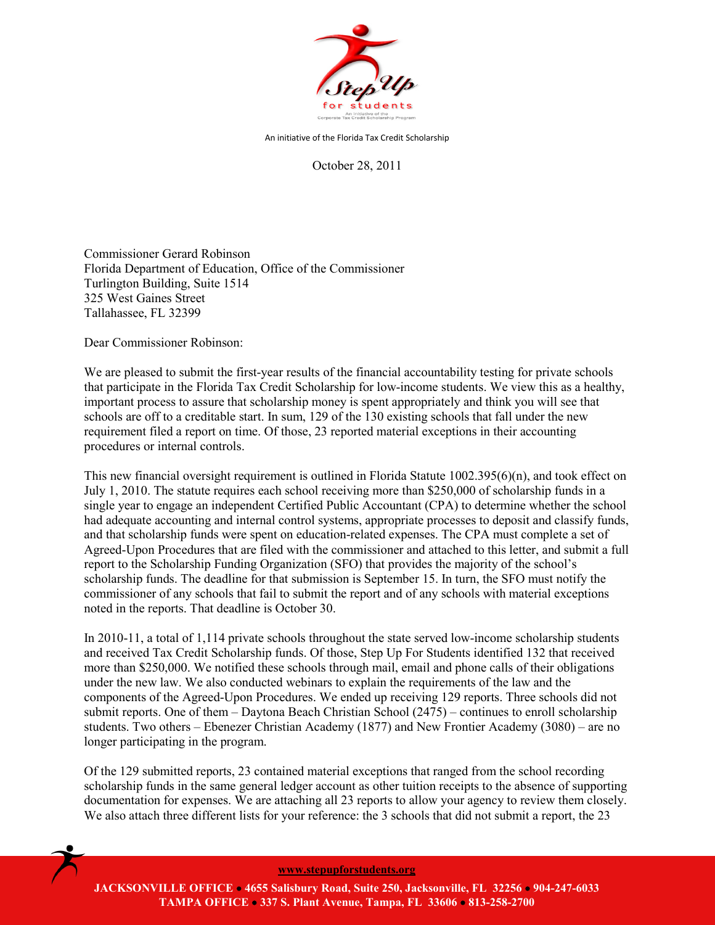

An initiative of the Florida Tax Credit Scholarship

October 28, 2011

Commissioner Gerard Robinson Florida Department of Education, Office of the Commissioner Turlington Building, Suite 1514 325 West Gaines Street Tallahassee, FL 32399

Dear Commissioner Robinson:

We are pleased to submit the first-year results of the financial accountability testing for private schools that participate in the Florida Tax Credit Scholarship for low-income students. We view this as a healthy, important process to assure that scholarship money is spent appropriately and think you will see that schools are off to a creditable start. In sum, 129 of the 130 existing schools that fall under the new requirement filed a report on time. Of those, 23 reported material exceptions in their accounting procedures or internal controls.

This new financial oversight requirement is outlined in Florida Statute 1002.395(6)(n), and took effect on July 1, 2010. The statute requires each school receiving more than \$250,000 of scholarship funds in a single year to engage an independent Certified Public Accountant (CPA) to determine whether the school had adequate accounting and internal control systems, appropriate processes to deposit and classify funds, and that scholarship funds were spent on education-related expenses. The CPA must complete a set of Agreed-Upon Procedures that are filed with the commissioner and attached to this letter, and submit a full report to the Scholarship Funding Organization (SFO) that provides the majority of the school's scholarship funds. The deadline for that submission is September 15. In turn, the SFO must notify the commissioner of any schools that fail to submit the report and of any schools with material exceptions noted in the reports. That deadline is October 30.

In 2010-11, a total of 1,114 private schools throughout the state served low-income scholarship students and received Tax Credit Scholarship funds. Of those, Step Up For Students identified 132 that received more than \$250,000. We notified these schools through mail, email and phone calls of their obligations under the new law. We also conducted webinars to explain the requirements of the law and the components of the Agreed-Upon Procedures. We ended up receiving 129 reports. Three schools did not submit reports. One of them – Daytona Beach Christian School (2475) – continues to enroll scholarship students. Two others – Ebenezer Christian Academy (1877) and New Frontier Academy (3080) – are no longer participating in the program.

Of the 129 submitted reports, 23 contained material exceptions that ranged from the school recording scholarship funds in the same general ledger account as other tuition receipts to the absence of supporting documentation for expenses. We are attaching all 23 reports to allow your agency to review them closely. We also attach three different lists for your reference: the 3 schools that did not submit a report, the 23



**[www.stepupforstudents.org](http://www.stepupforstudents.org/)**

**JACKSONVILLE OFFICE** • **4655 Salisbury Road, Suite 250, Jacksonville, FL 32256** • **904-247-6033 TAMPA OFFICE** • **337 S. Plant Avenue, Tampa, FL 33606** • **813-258-2700**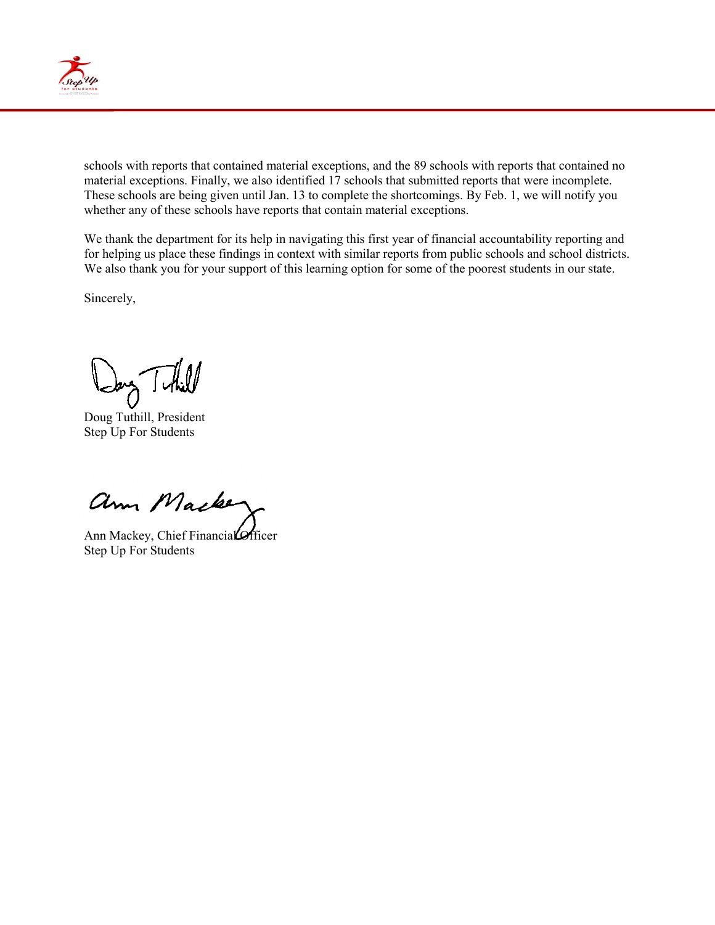

schools with reports that contained material exceptions, and the 89 schools with reports that contained no material exceptions. Finally, we also identified 17 schools that submitted reports that were incomplete. These schools are being given until Jan. 13 to complete the shortcomings. By Feb. 1, we will notify you whether any of these schools have reports that contain material exceptions.

We thank the department for its help in navigating this first year of financial accountability reporting and for helping us place these findings in context with similar reports from public schools and school districts. We also thank you for your support of this learning option for some of the poorest students in our state.

Sincerely,

Jang Tuthill

Doug Tuthill, President Step Up For Students

ann Macke

Ann Mackey, Chief Financial Officer Step Up For Students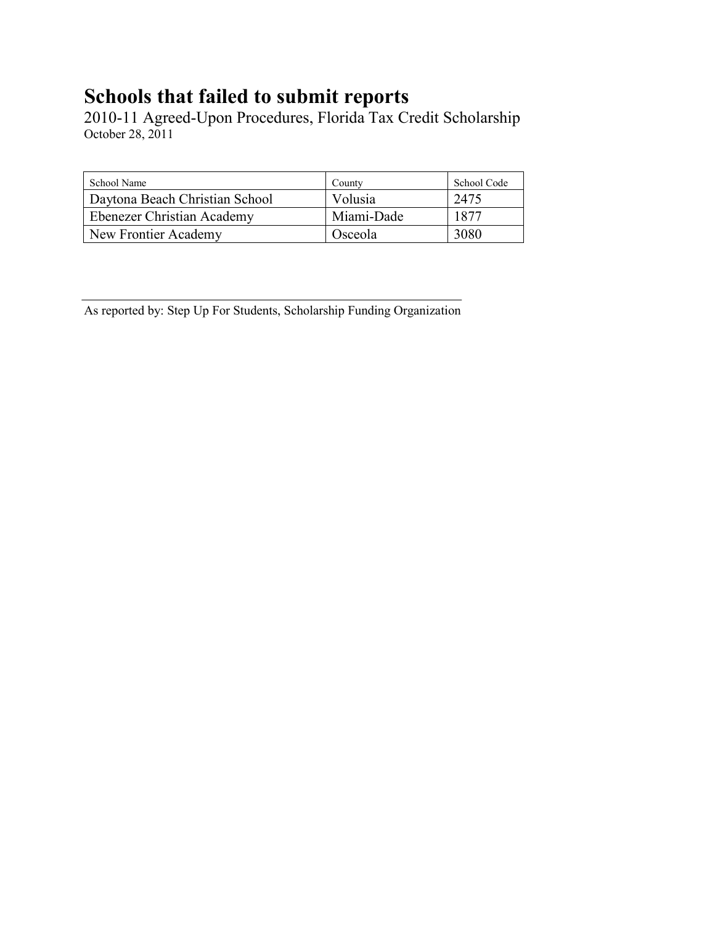## **Schools that failed to submit reports**

2010-11 Agreed-Upon Procedures, Florida Tax Credit Scholarship October 28, 2011

| School Name                    | County     | School Code |
|--------------------------------|------------|-------------|
| Daytona Beach Christian School | Volusia    | 2475        |
| Ebenezer Christian Academy     | Miami-Dade | 1877        |
| New Frontier Academy           | Osceola    | 3080        |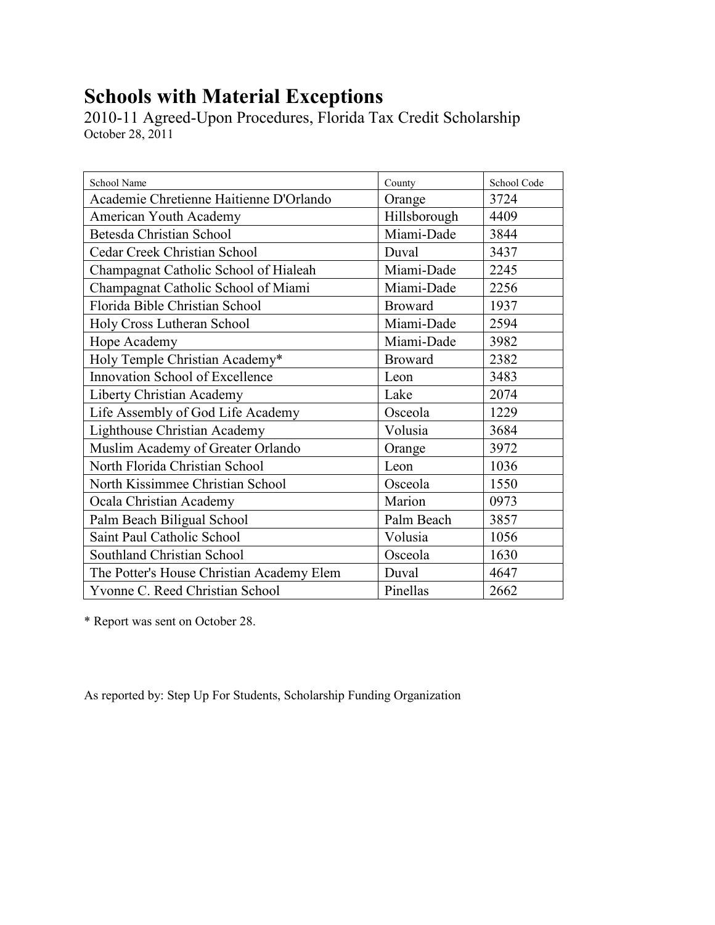## **Schools with Material Exceptions**

2010-11 Agreed-Upon Procedures, Florida Tax Credit Scholarship October 28, 2011

| School Name                               | County         | School Code |
|-------------------------------------------|----------------|-------------|
| Academie Chretienne Haitienne D'Orlando   | Orange         | 3724        |
| American Youth Academy                    | Hillsborough   | 4409        |
| Betesda Christian School                  | Miami-Dade     | 3844        |
| Cedar Creek Christian School              | Duval          | 3437        |
| Champagnat Catholic School of Hialeah     | Miami-Dade     | 2245        |
| Champagnat Catholic School of Miami       | Miami-Dade     | 2256        |
| Florida Bible Christian School            | <b>Broward</b> | 1937        |
| Holy Cross Lutheran School                | Miami-Dade     | 2594        |
| Hope Academy                              | Miami-Dade     | 3982        |
| Holy Temple Christian Academy*            | <b>Broward</b> | 2382        |
| Innovation School of Excellence           | Leon           | 3483        |
| Liberty Christian Academy                 | Lake           | 2074        |
| Life Assembly of God Life Academy         | Osceola        | 1229        |
| Lighthouse Christian Academy              | Volusia        | 3684        |
| Muslim Academy of Greater Orlando         | Orange         | 3972        |
| North Florida Christian School            | Leon           | 1036        |
| North Kissimmee Christian School          | Osceola        | 1550        |
| Ocala Christian Academy                   | Marion         | 0973        |
| Palm Beach Biligual School                | Palm Beach     | 3857        |
| Saint Paul Catholic School                | Volusia        | 1056        |
| Southland Christian School                | Osceola        | 1630        |
| The Potter's House Christian Academy Elem | Duval          | 4647        |
| Yvonne C. Reed Christian School           | Pinellas       | 2662        |

\* Report was sent on October 28.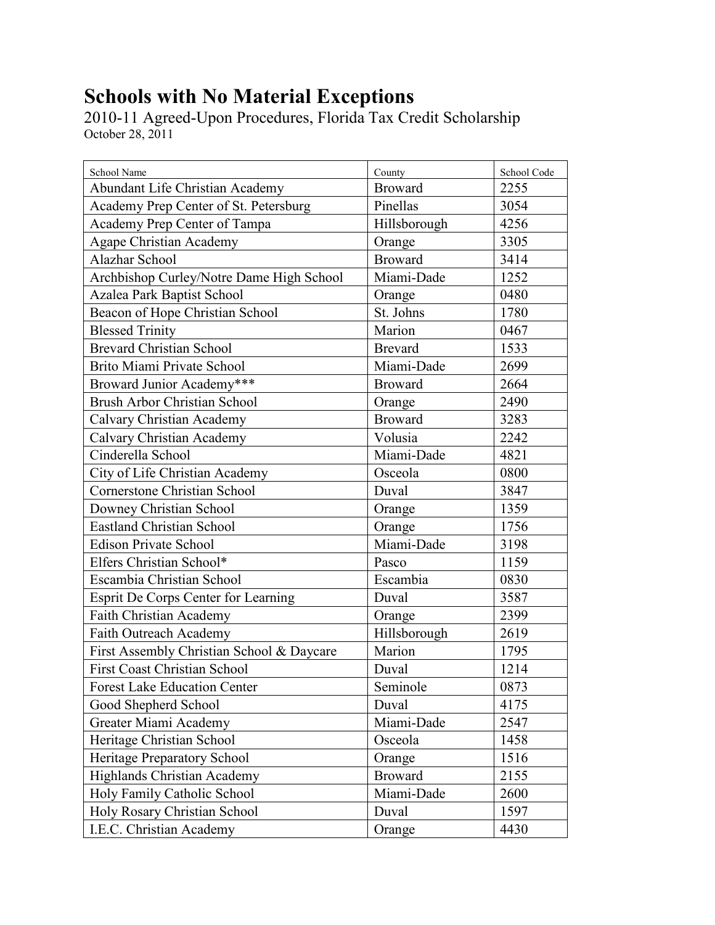## **Schools with No Material Exceptions**

2010-11 Agreed-Upon Procedures, Florida Tax Credit Scholarship October 28, 2011

| School Name                               | County         | School Code |
|-------------------------------------------|----------------|-------------|
| Abundant Life Christian Academy           | <b>Broward</b> | 2255        |
| Academy Prep Center of St. Petersburg     | Pinellas       | 3054        |
| Academy Prep Center of Tampa              | Hillsborough   | 4256        |
| Agape Christian Academy                   | Orange         | 3305        |
| Alazhar School                            | <b>Broward</b> | 3414        |
| Archbishop Curley/Notre Dame High School  | Miami-Dade     | 1252        |
| Azalea Park Baptist School                | Orange         | 0480        |
| Beacon of Hope Christian School           | St. Johns      | 1780        |
| <b>Blessed Trinity</b>                    | Marion         | 0467        |
| <b>Brevard Christian School</b>           | <b>Brevard</b> | 1533        |
| Brito Miami Private School                | Miami-Dade     | 2699        |
| Broward Junior Academy***                 | <b>Broward</b> | 2664        |
| <b>Brush Arbor Christian School</b>       | Orange         | 2490        |
| Calvary Christian Academy                 | <b>Broward</b> | 3283        |
| <b>Calvary Christian Academy</b>          | Volusia        | 2242        |
| Cinderella School                         | Miami-Dade     | 4821        |
| City of Life Christian Academy            | Osceola        | 0800        |
| Cornerstone Christian School              | Duval          | 3847        |
| Downey Christian School                   | Orange         | 1359        |
| <b>Eastland Christian School</b>          | Orange         | 1756        |
| <b>Edison Private School</b>              | Miami-Dade     | 3198        |
| Elfers Christian School*                  | Pasco          | 1159        |
| Escambia Christian School                 | Escambia       | 0830        |
| Esprit De Corps Center for Learning       | Duval          | 3587        |
| <b>Faith Christian Academy</b>            | Orange         | 2399        |
| Faith Outreach Academy                    | Hillsborough   | 2619        |
| First Assembly Christian School & Daycare | Marion         | 1795        |
| <b>First Coast Christian School</b>       | Duval          | 1214        |
| <b>Forest Lake Education Center</b>       | Seminole       | 0873        |
| Good Shepherd School                      | Duval          | 4175        |
| Greater Miami Academy                     | Miami-Dade     | 2547        |
| Heritage Christian School                 | Osceola        | 1458        |
| Heritage Preparatory School               | Orange         | 1516        |
| <b>Highlands Christian Academy</b>        | <b>Broward</b> | 2155        |
| Holy Family Catholic School               | Miami-Dade     | 2600        |
| Holy Rosary Christian School              | Duval          | 1597        |
| I.E.C. Christian Academy                  | Orange         | 4430        |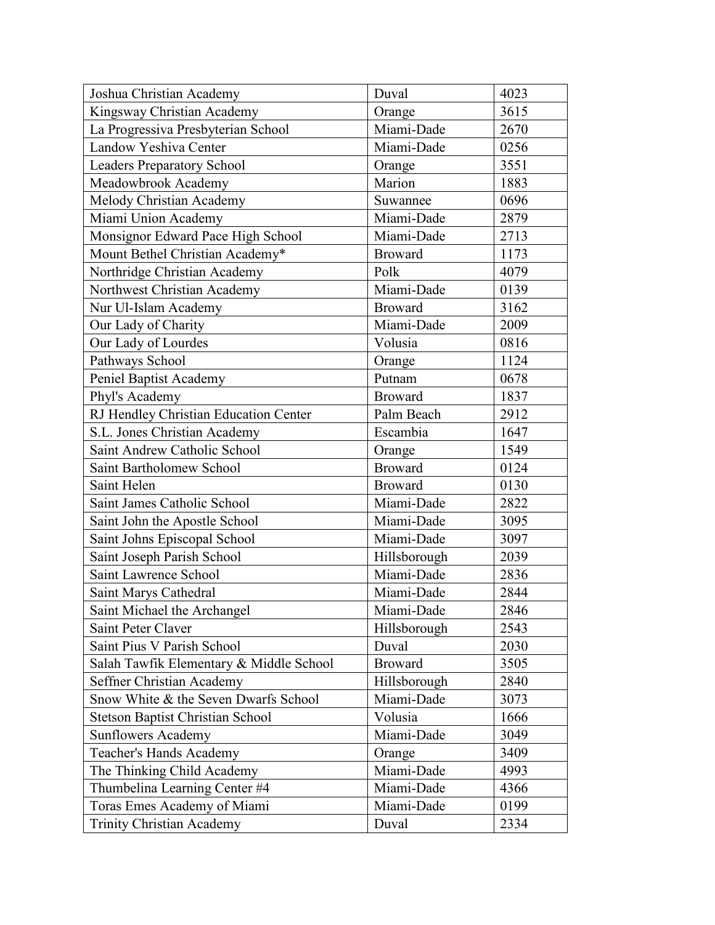| Joshua Christian Academy                | Duval          | 4023 |
|-----------------------------------------|----------------|------|
| Kingsway Christian Academy              | Orange         | 3615 |
| La Progressiva Presbyterian School      | Miami-Dade     | 2670 |
| Landow Yeshiva Center                   | Miami-Dade     | 0256 |
| <b>Leaders Preparatory School</b>       | Orange         | 3551 |
| Meadowbrook Academy                     | Marion         | 1883 |
| Melody Christian Academy                | Suwannee       | 0696 |
| Miami Union Academy                     | Miami-Dade     | 2879 |
| Monsignor Edward Pace High School       | Miami-Dade     | 2713 |
| Mount Bethel Christian Academy*         | <b>Broward</b> | 1173 |
| Northridge Christian Academy            | Polk           | 4079 |
| Northwest Christian Academy             | Miami-Dade     | 0139 |
| Nur Ul-Islam Academy                    | <b>Broward</b> | 3162 |
| Our Lady of Charity                     | Miami-Dade     | 2009 |
| Our Lady of Lourdes                     | Volusia        | 0816 |
| Pathways School                         | Orange         | 1124 |
| Peniel Baptist Academy                  | Putnam         | 0678 |
| Phyl's Academy                          | <b>Broward</b> | 1837 |
| RJ Hendley Christian Education Center   | Palm Beach     | 2912 |
| S.L. Jones Christian Academy            | Escambia       | 1647 |
| Saint Andrew Catholic School            | Orange         | 1549 |
| Saint Bartholomew School                | <b>Broward</b> | 0124 |
| Saint Helen                             | <b>Broward</b> | 0130 |
| Saint James Catholic School             | Miami-Dade     | 2822 |
| Saint John the Apostle School           | Miami-Dade     | 3095 |
| Saint Johns Episcopal School            | Miami-Dade     | 3097 |
| Saint Joseph Parish School              | Hillsborough   | 2039 |
| Saint Lawrence School                   | Miami-Dade     | 2836 |
| Saint Marys Cathedral                   | Miami-Dade     | 2844 |
| Saint Michael the Archangel             | Miami-Dade     | 2846 |
| Saint Peter Claver                      | Hillsborough   | 2543 |
| Saint Pius V Parish School              | Duval          | 2030 |
| Salah Tawfik Elementary & Middle School | <b>Broward</b> | 3505 |
| Seffner Christian Academy               | Hillsborough   | 2840 |
| Snow White & the Seven Dwarfs School    | Miami-Dade     | 3073 |
| <b>Stetson Baptist Christian School</b> | Volusia        | 1666 |
| <b>Sunflowers Academy</b>               | Miami-Dade     | 3049 |
| <b>Teacher's Hands Academy</b>          | Orange         | 3409 |
| The Thinking Child Academy              | Miami-Dade     | 4993 |
| Thumbelina Learning Center #4           | Miami-Dade     | 4366 |
| Toras Emes Academy of Miami             | Miami-Dade     | 0199 |
| <b>Trinity Christian Academy</b>        | Duval          | 2334 |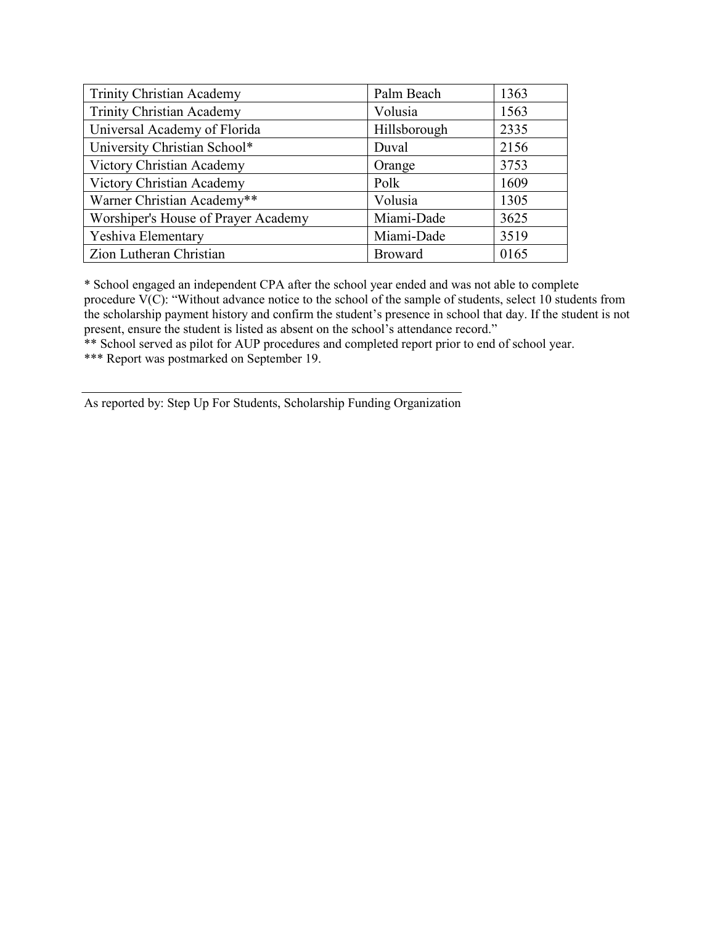| <b>Trinity Christian Academy</b>    | Palm Beach     | 1363 |
|-------------------------------------|----------------|------|
| <b>Trinity Christian Academy</b>    | Volusia        | 1563 |
| Universal Academy of Florida        | Hillsborough   | 2335 |
| University Christian School*        | Duval          | 2156 |
| Victory Christian Academy           | Orange         | 3753 |
| Victory Christian Academy           | Polk           | 1609 |
| Warner Christian Academy**          | Volusia        | 1305 |
| Worshiper's House of Prayer Academy | Miami-Dade     | 3625 |
| Yeshiva Elementary                  | Miami-Dade     | 3519 |
| Zion Lutheran Christian             | <b>Broward</b> | 0165 |

\* School engaged an independent CPA after the school year ended and was not able to complete procedure  $\widetilde{V(C)}$ : "Without advance notice to the school of the sample of students, select 10 students from the scholarship payment history and confirm the student's presence in school that day. If the student is not present, ensure the student is listed as absent on the school's attendance record."

\*\* School served as pilot for AUP procedures and completed report prior to end of school year.

\*\*\* Report was postmarked on September 19.